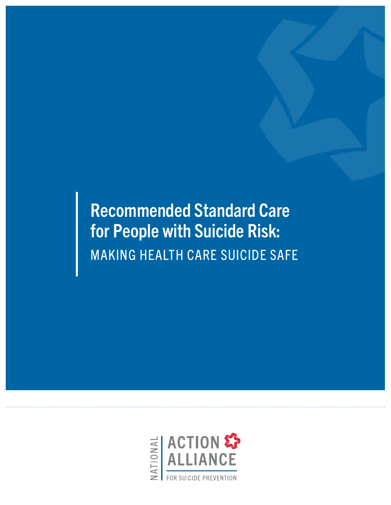Recommended Standard Care for People with Suicide Risk: MAKING HEALTH CARE SUICIDE SAFE

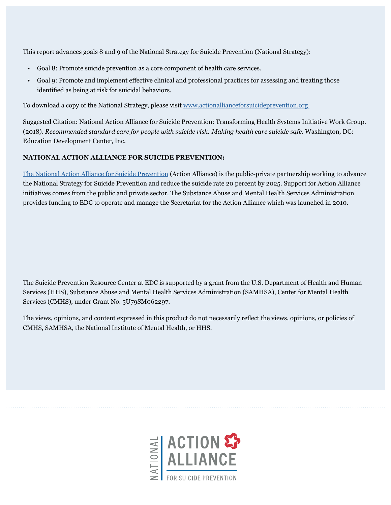This report advances goals 8 and 9 of the National Strategy for Suicide Prevention (National Strategy):

- Goal 8: Promote suicide prevention as a core component of health care services.
- Goal 9: Promote and implement effective clinical and professional practices for assessing and treating those identified as being at risk for suicidal behaviors.

To download a copy of the National Strategy, please visit [www.actionallianceforsuicideprevention.org](http://www.actionallianceforsuicideprevention.org) 

Suggested Citation: National Action Alliance for Suicide Prevention: Transforming Health Systems Initiative Work Group. (2018). *Recommended standard care for people with suicide risk: Making health care suicide safe.* Washington, DC: Education Development Center, Inc.

#### **NATIONAL ACTION ALLIANCE FOR SUICIDE PREVENTION:**

[The National Action Alliance for Suicide Prevention](http://actionallianceforsuicideprevention.org) (Action Alliance) is the public-private partnership working to advance the National Strategy for Suicide Prevention and reduce the suicide rate 20 percent by 2025. Support for Action Alliance initiatives comes from the public and private sector. The Substance Abuse and Mental Health Services Administration provides funding to EDC to operate and manage the Secretariat for the Action Alliance which was launched in 2010.

The Suicide Prevention Resource Center at EDC is supported by a grant from the U.S. Department of Health and Human Services (HHS), Substance Abuse and Mental Health Services Administration (SAMHSA), Center for Mental Health Services (CMHS), under Grant No. 5U79SM062297.

The views, opinions, and content expressed in this product do not necessarily reflect the views, opinions, or policies of CMHS, SAMHSA, the National Institute of Mental Health, or HHS.

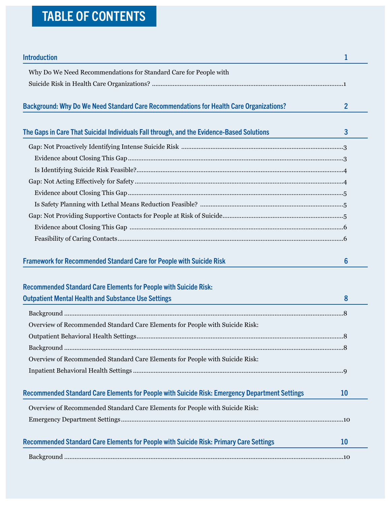# TABLE OF CONTENTS

| <b>Introduction</b>                                                                            | 1              |
|------------------------------------------------------------------------------------------------|----------------|
| Why Do We Need Recommendations for Standard Care for People with                               |                |
|                                                                                                |                |
|                                                                                                |                |
| Background: Why Do We Need Standard Care Recommendations for Health Care Organizations?        | $\overline{2}$ |
| The Gaps in Care That Suicidal Individuals Fall through, and the Evidence-Based Solutions      | 3              |
|                                                                                                |                |
|                                                                                                |                |
|                                                                                                |                |
|                                                                                                |                |
|                                                                                                |                |
|                                                                                                |                |
|                                                                                                |                |
|                                                                                                |                |
|                                                                                                |                |
| <b>Framework for Recommended Standard Care for People with Suicide Risk</b>                    | 6              |
| <b>Recommended Standard Care Elements for People with Suicide Risk:</b>                        |                |
| <b>Outpatient Mental Health and Substance Use Settings</b>                                     | 8              |
|                                                                                                |                |
| Overview of Recommended Standard Care Elements for People with Suicide Risk:                   |                |
|                                                                                                |                |
|                                                                                                |                |
| Overview of Recommended Standard Care Elements for People with Suicide Risk:                   |                |
|                                                                                                |                |
| Recommended Standard Care Elements for People with Suicide Risk: Emergency Department Settings | <b>10</b>      |
| Overview of Recommended Standard Care Elements for People with Suicide Risk:                   |                |
|                                                                                                |                |
| Recommended Standard Care Elements for People with Suicide Risk: Primary Care Settings         | <b>10</b>      |
|                                                                                                |                |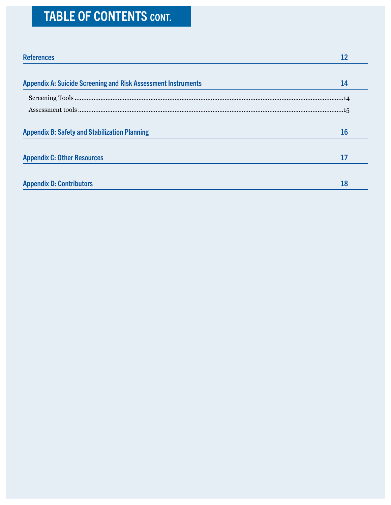# TABLE OF CONTENTS CONT.

| <b>References</b>                                                    | 12 |
|----------------------------------------------------------------------|----|
| <b>Appendix A: Suicide Screening and Risk Assessment Instruments</b> | 14 |
|                                                                      |    |
|                                                                      |    |
| <b>Appendix B: Safety and Stabilization Planning</b>                 | 16 |
| <b>Appendix C: Other Resources</b>                                   | 17 |
| <b>Appendix D: Contributors</b>                                      | 18 |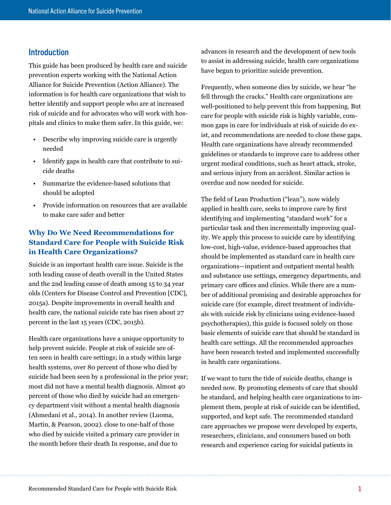# <span id="page-4-0"></span>Introduction

This guide has been produced by health care and suicide prevention experts working with the National Action Alliance for Suicide Prevention (Action Alliance). The information is for health care organizations that wish to better identify and support people who are at increased risk of suicide and for advocates who will work with hospitals and clinics to make them safer. In this guide, we:

- Describe why improving suicide care is urgently needed
- Identify gaps in health care that contribute to suicide deaths
- Summarize the evidence-based solutions that should be adopted
- Provide information on resources that are available to make care safer and better

# **Why Do We Need Recommendations for Standard Care for People with Suicide Risk in Health Care Organizations?**

Suicide is an important health care issue. Suicide is the 10th leading cause of death overall in the United States and the 2nd leading cause of death among 15 to 34 year olds (Centers for Disease Control and Prevention [CDC], 2015a). Despite improvements in overall health and health care, the national suicide rate has risen about 27 percent in the last 15 years (CDC, 2015b).

Health care organizations have a unique opportunity to help prevent suicide. People at risk of suicide are often seen in health care settings; in a study within large health systems, over 80 percent of those who died by suicide had been seen by a professional in the prior year; most did not have a mental health diagnosis. Almost 40 percent of those who died by suicide had an emergency department visit without a mental health diagnosis (Ahmedani et al., 2014). In another review (Luoma, Martin, & Pearson, 2002). close to one-half of those who died by suicide visited a primary care provider in the month before their death In response, and due to

advances in research and the development of new tools to assist in addressing suicide, health care organizations have begun to prioritize suicide prevention.

Frequently, when someone dies by suicide, we hear "he fell through the cracks." Health care organizations are well-positioned to help prevent this from happening. But care for people with suicide risk is highly variable, common gaps in care for individuals at risk of suicide do exist, and recommendations are needed to close these gaps. Health care organizations have already recommended guidelines or standards to improve care to address other urgent medical conditions, such as heart attack, stroke, and serious injury from an accident. Similar action is overdue and now needed for suicide.

The field of Lean Production ("lean"), now widely applied in health care, seeks to improve care by first identifying and implementing "standard work" for a particular task and then incrementally improving quality. We apply this process to suicide care by identifying low-cost, high-value, evidence-based approaches that should be implemented as standard care in health care organizations—inpatient and outpatient mental health and substance use settings, emergency departments, and primary care offices and clinics. While there are a number of additional promising and desirable approaches for suicide care (for example, direct treatment of individuals with suicide risk by clinicians using evidence-based psychotherapies), this guide is focused solely on those basic elements of suicide care that should be standard in health care settings. All the recommended approaches have been research tested and implemented successfully in health care organizations.

If we want to turn the tide of suicide deaths, change is needed now. By promoting elements of care that should be standard, and helping health care organizations to implement them, people at risk of suicide can be identified, supported, and kept safe. The recommended standard care approaches we propose were developed by experts, researchers, clinicians, and consumers based on both research and experience caring for suicidal patients in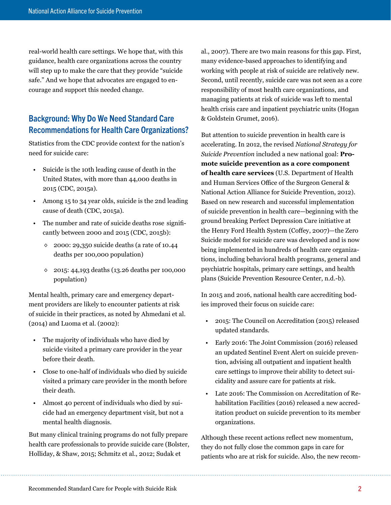<span id="page-5-0"></span>real-world health care settings. We hope that, with this guidance, health care organizations across the country will step up to make the care that they provide "suicide safe." And we hope that advocates are engaged to encourage and support this needed change.

# Background: Why Do We Need Standard Care Recommendations for Health Care Organizations?

Statistics from the CDC provide context for the nation's need for suicide care:

- Suicide is the 10th leading cause of death in the United States, with more than 44,000 deaths in 2015 (CDC, 2015a).
- Among 15 to 34 year olds, suicide is the 2nd leading cause of death (CDC, 2015a).
- The number and rate of suicide deaths rose significantly between 2000 and 2015 (CDC, 2015b):
	- ◊ 2000: 29,350 suicide deaths (a rate of 10.44 deaths per 100,000 population)
	- ◊ 2015: 44,193 deaths (13.26 deaths per 100,000 population)

Mental health, primary care and emergency department providers are likely to encounter patients at risk of suicide in their practices, as noted by Ahmedani et al. (2014) and Luoma et al. (2002):

- The majority of individuals who have died by suicide visited a primary care provider in the year before their death.
- Close to one-half of individuals who died by suicide visited a primary care provider in the month before their death.
- Almost 40 percent of individuals who died by suicide had an emergency department visit, but not a mental health diagnosis.

But many clinical training programs do not fully prepare health care professionals to provide suicide care (Bolster, Holliday, & Shaw, 2015; Schmitz et al., 2012; Sudak et

al., 2007). There are two main reasons for this gap. First, many evidence-based approaches to identifying and working with people at risk of suicide are relatively new. Second, until recently, suicide care was not seen as a core responsibility of most health care organizations, and managing patients at risk of suicide was left to mental health crisis care and inpatient psychiatric units (Hogan & Goldstein Grumet, 2016).

But attention to suicide prevention in health care is accelerating. In 2012, the revised *National Strategy for Suicide Prevention* included a new national goal: **Promote suicide prevention as a core component of health care services** (U.S. Department of Health and Human Services Office of the Surgeon General & National Action Alliance for Suicide Prevention, 2012). Based on new research and successful implementation of suicide prevention in health care—beginning with the ground breaking Perfect Depression Care initiative at the Henry Ford Health System (Coffey, 2007)—the Zero Suicide model for suicide care was developed and is now being implemented in hundreds of health care organizations, including behavioral health programs, general and psychiatric hospitals, primary care settings, and health plans (Suicide Prevention Resource Center, n.d.-b).

In 2015 and 2016, national health care accrediting bodies improved their focus on suicide care:

- 2015: The Council on Accreditation (2015) released updated standards.
- Early 2016: The Joint Commission (2016) released an updated Sentinel Event Alert on suicide prevention, advising all outpatient and inpatient health care settings to improve their ability to detect suicidality and assure care for patients at risk.
- Late 2016: The Commission on Accreditation of Rehabilitation Facilities (2016) released a new accreditation product on suicide prevention to its member organizations.

Although these recent actions reflect new momentum, they do not fully close the common gaps in care for patients who are at risk for suicide. Also, the new recom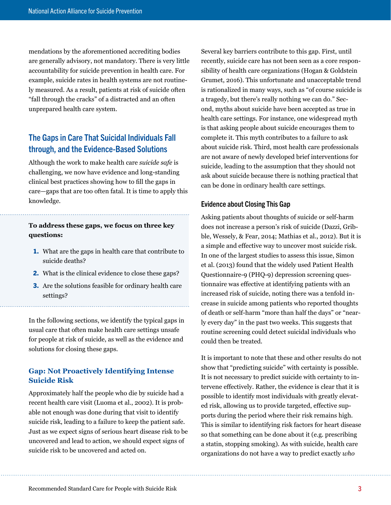<span id="page-6-0"></span>mendations by the aforementioned accrediting bodies are generally advisory, not mandatory. There is very little accountability for suicide prevention in health care. For example, suicide rates in health systems are not routinely measured. As a result, patients at risk of suicide often "fall through the cracks" of a distracted and an often unprepared health care system.

# The Gaps in Care That Suicidal Individuals Fall through, and the Evidence-Based Solutions

Although the work to make health care *suicide safe* is challenging, we now have evidence and long-standing clinical best practices showing how to fill the gaps in care—gaps that are too often fatal. It is time to apply this knowledge.

## **To address these gaps, we focus on three key questions:**

- 1. What are the gaps in health care that contribute to suicide deaths?
- 2. What is the clinical evidence to close these gaps?
- 3. Are the solutions feasible for ordinary health care settings?

In the following sections, we identify the typical gaps in usual care that often make health care settings unsafe for people at risk of suicide, as well as the evidence and solutions for closing these gaps.

## **Gap: Not Proactively Identifying Intense Suicide Risk**

Approximately half the people who die by suicide had a recent health care visit (Luoma et al., 2002). It is probable not enough was done during that visit to identify suicide risk, leading to a failure to keep the patient safe. Just as we expect signs of serious heart disease risk to be uncovered and lead to action, we should expect signs of suicide risk to be uncovered and acted on.

Several key barriers contribute to this gap. First, until recently, suicide care has not been seen as a core responsibility of health care organizations (Hogan & Goldstein Grumet, 2016). This unfortunate and unacceptable trend is rationalized in many ways, such as "of course suicide is a tragedy, but there's really nothing we can do." Second, myths about suicide have been accepted as true in health care settings. For instance, one widespread myth is that asking people about suicide encourages them to complete it. This myth contributes to a failure to ask about suicide risk. Third, most health care professionals are not aware of newly developed brief interventions for suicide, leading to the assumption that they should not ask about suicide because there is nothing practical that can be done in ordinary health care settings.

#### Evidence about Closing This Gap

Asking patients about thoughts of suicide or self-harm does not increase a person's risk of suicide (Dazzi, Gribble, Wessely, & Fear, 2014; Mathias et al., 2012). But it is a simple and effective way to uncover most suicide risk. In one of the largest studies to assess this issue, Simon et al. (2013) found that the widely used Patient Health Questionnaire-9 (PHQ-9) depression screening questionnaire was effective at identifying patients with an increased risk of suicide, noting there was a tenfold increase in suicide among patients who reported thoughts of death or self-harm "more than half the days" or "nearly every day" in the past two weeks. This suggests that routine screening could detect suicidal individuals who could then be treated.

It is important to note that these and other results do not show that "predicting suicide" with certainty is possible. It is not necessary to predict suicide with certainty to intervene effectively. Rather, the evidence is clear that it is possible to identify most individuals with greatly elevated risk, allowing us to provide targeted, effective supports during the period where their risk remains high. This is similar to identifying risk factors for heart disease so that something can be done about it (e.g. prescribing a statin, stopping smoking). As with suicide, health care organizations do not have a way to predict exactly *who*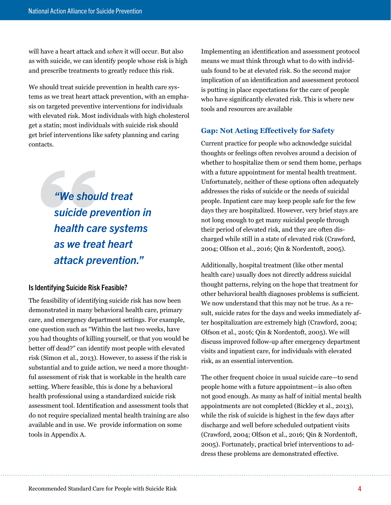<span id="page-7-0"></span>will have a heart attack and *when* it will occur. But also as with suicide, we can identify people whose risk is high and prescribe treatments to greatly reduce this risk.

We should treat suicide prevention in health care systems as we treat heart attack prevention, with an emphasis on targeted preventive interventions for individuals with elevated risk. Most individuals with high cholesterol get a statin; most individuals with suicide risk should get brief interventions like safety planning and caring contacts.

> *"We should treat suicide prevention in health care systems as we treat heart attack prevention."*

## Is Identifying Suicide Risk Feasible?

The feasibility of identifying suicide risk has now been demonstrated in many behavioral health care, primary care, and emergency department settings. For example, one question such as "Within the last two weeks, have you had thoughts of killing yourself, or that you would be better off dead?" can identify most people with elevated risk (Simon et al., 2013). However, to assess if the risk is substantial and to guide action, we need a more thoughtful assessment of risk that is workable in the health care setting. Where feasible, this is done by a behavioral health professional using a standardized suicide risk assessment tool. Identification and assessment tools that do not require specialized mental health training are also available and in use. We provide information on some tools in Appendix A.

Implementing an identification and assessment protocol means we must think through what to do with individuals found to be at elevated risk. So the second major implication of an identification and assessment protocol is putting in place expectations for the care of people who have significantly elevated risk. This is where new tools and resources are available

#### **Gap: Not Acting Effectively for Safety**

Current practice for people who acknowledge suicidal thoughts or feelings often revolves around a decision of whether to hospitalize them or send them home, perhaps with a future appointment for mental health treatment. Unfortunately, neither of these options often adequately addresses the risks of suicide or the needs of suicidal people. Inpatient care may keep people safe for the few days they are hospitalized. However, very brief stays are not long enough to get many suicidal people through their period of elevated risk, and they are often discharged while still in a state of elevated risk (Crawford, 2004; Olfson et al., 2016; Qin & Nordentoft, 2005).

Additionally, hospital treatment (like other mental health care) usually does not directly address suicidal thought patterns, relying on the hope that treatment for other behavioral health diagnoses problems is sufficient. We now understand that this may not be true. As a result, suicide rates for the days and weeks immediately after hospitalization are extremely high (Crawford, 2004; Olfson et al., 2016; Qin & Nordentoft, 2005). We will discuss improved follow-up after emergency department visits and inpatient care, for individuals with elevated risk, as an essential intervention.

The other frequent choice in usual suicide care—to send people home with a future appointment—is also often not good enough. As many as half of initial mental health appointments are not completed (Bickley et al., 2013), while the risk of suicide is highest in the few days after discharge and well before scheduled outpatient visits (Crawford, 2004; Olfson et al., 2016; Qin & Nordentoft, 2005). Fortunately, practical brief interventions to address these problems are demonstrated effective.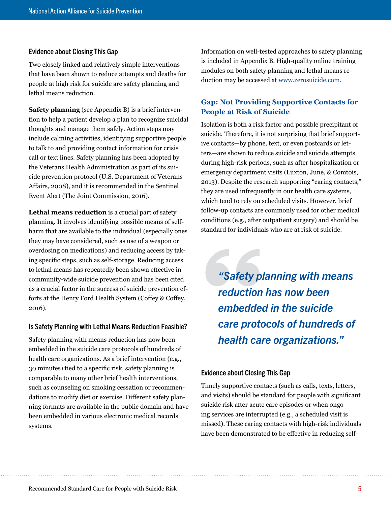#### <span id="page-8-0"></span>Evidence about Closing This Gap

Two closely linked and relatively simple interventions that have been shown to reduce attempts and deaths for people at high risk for suicide are safety planning and lethal means reduction.

**Safety planning** (see Appendix B) is a brief intervention to help a patient develop a plan to recognize suicidal thoughts and manage them safely. Action steps may include calming activities, identifying supportive people to talk to and providing contact information for crisis call or text lines. Safety planning has been adopted by the Veterans Health Administration as part of its suicide prevention protocol (U.S. Department of Veterans Affairs, 2008), and it is recommended in the Sentinel Event Alert (The Joint Commission, 2016).

**Lethal means reduction** is a crucial part of safety planning. It involves identifying possible means of selfharm that are available to the individual (especially ones they may have considered, such as use of a weapon or overdosing on medications) and reducing access by taking specific steps, such as self-storage. Reducing access to lethal means has repeatedly been shown effective in community-wide suicide prevention and has been cited as a crucial factor in the success of suicide prevention efforts at the Henry Ford Health System (Coffey & Coffey, 2016).

#### Is Safety Planning with Lethal Means Reduction Feasible?

Safety planning with means reduction has now been embedded in the suicide care protocols of hundreds of health care organizations. As a brief intervention (e.g., 30 minutes) tied to a specific risk, safety planning is comparable to many other brief health interventions, such as counseling on smoking cessation or recommendations to modify diet or exercise. Different safety planning formats are available in the public domain and have been embedded in various electronic medical records systems.

Information on well-tested approaches to safety planning is included in Appendix B. High-quality online training modules on both safety planning and lethal means reduction may be accessed at [www.zerosuicide.com](http://www.zerosuicide.com).

## **Gap: Not Providing Supportive Contacts for People at Risk of Suicide**

Isolation is both a risk factor and possible precipitant of suicide. Therefore, it is not surprising that brief supportive contacts—by phone, text, or even postcards or letters—are shown to reduce suicide and suicide attempts during high-risk periods, such as after hospitalization or emergency department visits (Luxton, June, & Comtois, 2013). Despite the research supporting "caring contacts," they are used infrequently in our health care systems, which tend to rely on scheduled visits. However, brief follow-up contacts are commonly used for other medical conditions (e.g., after outpatient surgery) and should be standard for individuals who are at risk of suicide.

*"Safety planning with means reduction has now been embedded in the suicide care protocols of hundreds of health care organizations."*

#### Evidence about Closing This Gap

Timely supportive contacts (such as calls, texts, letters, and visits) should be standard for people with significant suicide risk after acute care episodes or when ongoing services are interrupted (e.g., a scheduled visit is missed). These caring contacts with high-risk individuals have been demonstrated to be effective in reducing self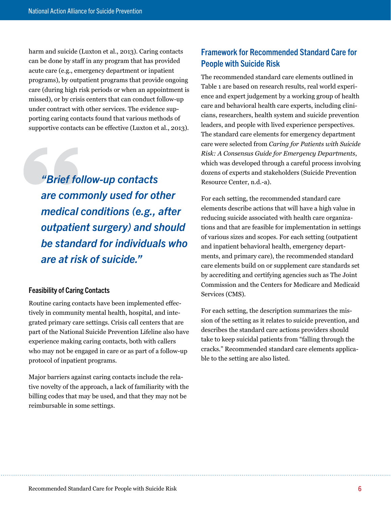<span id="page-9-0"></span>harm and suicide (Luxton et al., 2013). Caring contacts can be done by staff in any program that has provided acute care (e.g., emergency department or inpatient programs), by outpatient programs that provide ongoing care (during high risk periods or when an appointment is missed), or by crisis centers that can conduct follow-up under contract with other services. The evidence supporting caring contacts found that various methods of supportive contacts can be effective (Luxton et al., 2013).

*"Brief follow-up contacts are commonly used for other medical conditions (e.g., after outpatient surgery) and should be standard for individuals who are at risk of suicide."*

## Feasibility of Caring Contacts

Routine caring contacts have been implemented effectively in community mental health, hospital, and integrated primary care settings. Crisis call centers that are part of the National Suicide Prevention Lifeline also have experience making caring contacts, both with callers who may not be engaged in care or as part of a follow-up protocol of inpatient programs.

Major barriers against caring contacts include the relative novelty of the approach, a lack of familiarity with the billing codes that may be used, and that they may not be reimbursable in some settings.

# Framework for Recommended Standard Care for People with Suicide Risk

The recommended standard care elements outlined in Table 1 are based on research results, real world experience and expert judgement by a working group of health care and behavioral health care experts, including clinicians, researchers, health system and suicide prevention leaders, and people with lived experience perspectives. The standard care elements for emergency department care were selected from *Caring for Patients with Suicide Risk: A Consensus Guide for Emergency Departments*, which was developed through a careful process involving dozens of experts and stakeholders (Suicide Prevention Resource Center, n.d.-a).

For each setting, the recommended standard care elements describe actions that will have a high value in reducing suicide associated with health care organizations and that are feasible for implementation in settings of various sizes and scopes. For each setting (outpatient and inpatient behavioral health, emergency departments, and primary care), the recommended standard care elements build on or supplement care standards set by accrediting and certifying agencies such as The Joint Commission and the Centers for Medicare and Medicaid Services (CMS).

For each setting, the description summarizes the mission of the setting as it relates to suicide prevention, and describes the standard care actions providers should take to keep suicidal patients from "falling through the cracks." Recommended standard care elements applicable to the setting are also listed.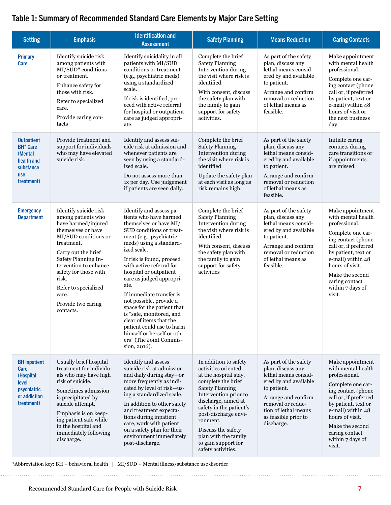# Table 1: Summary of Recommended Standard Care Elements by Major Care Setting

| <b>Setting</b>                                                                                  | <b>Emphasis</b>                                                                                                                                                                                                                                                                                             | <b>Identification and</b><br><b>Assessment</b>                                                                                                                                                                                                                                                                                                                                                                                                                                                                                                        | <b>Safety Planning</b>                                                                                                                                                                                                                                                                                                          | <b>Means Reduction</b>                                                                                                                                                                                               | <b>Caring Contacts</b>                                                                                                                                                                                                                                        |
|-------------------------------------------------------------------------------------------------|-------------------------------------------------------------------------------------------------------------------------------------------------------------------------------------------------------------------------------------------------------------------------------------------------------------|-------------------------------------------------------------------------------------------------------------------------------------------------------------------------------------------------------------------------------------------------------------------------------------------------------------------------------------------------------------------------------------------------------------------------------------------------------------------------------------------------------------------------------------------------------|---------------------------------------------------------------------------------------------------------------------------------------------------------------------------------------------------------------------------------------------------------------------------------------------------------------------------------|----------------------------------------------------------------------------------------------------------------------------------------------------------------------------------------------------------------------|---------------------------------------------------------------------------------------------------------------------------------------------------------------------------------------------------------------------------------------------------------------|
| <b>Primary</b><br><b>Care</b>                                                                   | Identify suicide risk<br>among patients with<br>MI/SUD* conditions<br>or treatment.<br>Enhance safety for<br>those with risk.<br>Refer to specialized<br>care.<br>Provide caring con-<br>tacts                                                                                                              | Identify suicidality in all<br>patients with MI/SUD<br>conditions or treatment<br>(e.g., psychiatric meds)<br>using a standardized<br>scale.<br>If risk is identified, pro-<br>ceed with active referral<br>for hospital or outpatient<br>care as judged appropri-<br>ate.                                                                                                                                                                                                                                                                            | Complete the brief<br><b>Safety Planning</b><br>Intervention during<br>the visit where risk is<br>identified.<br>With consent, discuss<br>the safety plan with<br>the family to gain<br>support for safety<br>activities.                                                                                                       | As part of the safety<br>plan, discuss any<br>lethal means consid-<br>ered by and available<br>to patient.<br>Arrange and confirm<br>removal or reduction<br>of lethal means as<br>feasible.                         | Make appointment<br>with mental health<br>professional.<br>Complete one car-<br>ing contact (phone<br>call or, if preferred<br>by patient, text or<br>e-mail) within 48<br>hours of visit or<br>the next business<br>day.                                     |
| <b>Outpatient</b><br><b>BH* Care</b><br>(Mental<br>health and<br>substance<br>use<br>treatment) | Provide treatment and<br>support for individuals<br>who may have elevated<br>suicide risk.                                                                                                                                                                                                                  | Identify and assess sui-<br>cide risk at admission and<br>whenever patients are<br>seen by using a standard-<br>ized scale.<br>Do not assess more than<br>1x per day. Use judgement<br>if patients are seen daily.                                                                                                                                                                                                                                                                                                                                    | Complete the brief<br><b>Safety Planning</b><br>Intervention during<br>the visit where risk is<br>identified<br>Update the safety plan<br>at each visit as long as<br>risk remains high.                                                                                                                                        | As part of the safety<br>plan, discuss any<br>lethal means consid-<br>ered by and available<br>to patient.<br>Arrange and confirm<br>removal or reduction<br>of lethal means as<br>feasible.                         | Initiate caring<br>contacts during<br>care transitions or<br>if appointments<br>are missed.                                                                                                                                                                   |
| <b>Emergency</b><br><b>Department</b>                                                           | Identify suicide risk<br>among patients who<br>have harmed/injured<br>themselves or have<br>MI/SUD conditions or<br>treatment.<br>Carry out the brief<br>Safety Planning In-<br>tervention to enhance<br>safety for those with<br>risk.<br>Refer to specialized<br>care.<br>Provide two caring<br>contacts. | Identify and assess pa-<br>tients who have harmed<br>themselves or have MI/<br>SUD conditions or treat-<br>ment (e.g., psychiatric<br>meds) using a standard-<br>ized scale.<br>If risk is found, proceed<br>with active referral for<br>hospital or outpatient<br>care as judged appropri-<br>ate.<br>If immediate transfer is<br>not possible, provide a<br>space for the patient that<br>is "safe, monitored, and<br>clear of items that the<br>patient could use to harm<br>himself or herself or oth-<br>ers" (The Joint Commis-<br>sion, 2016). | Complete the brief<br><b>Safety Planning</b><br>Intervention during<br>the visit where risk is<br>identified.<br>With consent, discuss<br>the safety plan with<br>the family to gain<br>support for safety<br>activities                                                                                                        | As part of the safety<br>plan, discuss any<br>lethal means consid-<br>ered by and available<br>to patient.<br>Arrange and confirm<br>removal or reduction<br>of lethal means as<br>feasible.                         | Make appointment<br>with mental health<br>professional.<br>Complete one car-<br>ing contact (phone<br>call or, if preferred<br>by patient, text or<br>e-mail) within 48<br>hours of visit.<br>Make the second<br>caring contact<br>within 7 days of<br>visit. |
| <b>BH</b> Inpatient<br>Care<br>(Hospital<br>level<br>psychiatric<br>or addiction<br>treatment)  | Usually brief hospital<br>treatment for individu-<br>als who may have high<br>risk of suicide.<br>Sometimes admission<br>is precipitated by<br>suicide attempt.<br>Emphasis is on keep-<br>ing patient safe while<br>in the hospital and<br>immediately following<br>discharge.                             | Identify and assess<br>suicide risk at admission<br>and daily during stay-or<br>more frequently as indi-<br>cated by level of risk-us-<br>ing a standardized scale.<br>In addition to other safety<br>and treatment expecta-<br>tions during inpatient<br>care, work with patient<br>on a safety plan for their<br>environment immediately<br>post-discharge.                                                                                                                                                                                         | In addition to safety<br>activities oriented<br>at the hospital stay,<br>complete the brief<br><b>Safety Planning</b><br>Intervention prior to<br>discharge, aimed at<br>safety in the patient's<br>post-discharge envi-<br>ronment.<br>Discuss the safety<br>plan with the family<br>to gain support for<br>safety activities. | As part of the safety<br>plan, discuss any<br>lethal means consid-<br>ered by and available<br>to patient.<br>Arrange and confirm<br>removal or reduc-<br>tion of lethal means<br>as feasible prior to<br>discharge. | Make appointment<br>with mental health<br>professional.<br>Complete one car-<br>ing contact (phone<br>call or, if preferred<br>by patient, text or<br>e-mail) within 48<br>hours of visit.<br>Make the second<br>caring contact<br>within 7 days of<br>visit. |

\*Abbreviation key: BH – behavioral health | MI/SUD – Mental illness/substance use disorder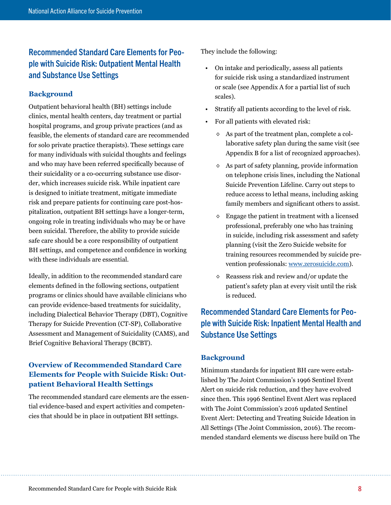# <span id="page-11-0"></span>Recommended Standard Care Elements for People with Suicide Risk: Outpatient Mental Health and Substance Use Settings

## **Background**

Outpatient behavioral health (BH) settings include clinics, mental health centers, day treatment or partial hospital programs, and group private practices (and as feasible, the elements of standard care are recommended for solo private practice therapists). These settings care for many individuals with suicidal thoughts and feelings and who may have been referred specifically because of their suicidality or a co-occurring substance use disorder, which increases suicide risk. While inpatient care is designed to initiate treatment, mitigate immediate risk and prepare patients for continuing care post-hospitalization, outpatient BH settings have a longer-term, ongoing role in treating individuals who may be or have been suicidal. Therefore, the ability to provide suicide safe care should be a core responsibility of outpatient BH settings, and competence and confidence in working with these individuals are essential.

Ideally, in addition to the recommended standard care elements defined in the following sections, outpatient programs or clinics should have available clinicians who can provide evidence-based treatments for suicidality, including Dialectical Behavior Therapy (DBT), Cognitive Therapy for Suicide Prevention (CT-SP), Collaborative Assessment and Management of Suicidality (CAMS), and Brief Cognitive Behavioral Therapy (BCBT).

# **Overview of Recommended Standard Care Elements for People with Suicide Risk: Outpatient Behavioral Health Settings**

The recommended standard care elements are the essential evidence-based and expert activities and competencies that should be in place in outpatient BH settings.

They include the following:

- On intake and periodically, assess all patients for suicide risk using a standardized instrument or scale (see Appendix A for a partial list of such scales).
- Stratify all patients according to the level of risk.
- For all patients with elevated risk:
	- ◊ As part of the treatment plan, complete a collaborative safety plan during the same visit (see Appendix B for a list of recognized approaches).
	- ◊ As part of safety planning, provide information on telephone crisis lines, including the National Suicide Prevention Lifeline. Carry out steps to reduce access to lethal means, including asking family members and significant others to assist.
	- ◊ Engage the patient in treatment with a licensed professional, preferably one who has training in suicide, including risk assessment and safety planning (visit the Zero Suicide website for training resources recommended by suicide prevention professionals: [www.zerosuicide.com](http://www.zerosuicide.com)).
	- ◊ Reassess risk and review and/or update the patient's safety plan at every visit until the risk is reduced.

# Recommended Standard Care Elements for People with Suicide Risk: Inpatient Mental Health and Substance Use Settings

# **Background**

Minimum standards for inpatient BH care were established by The Joint Commission's 1996 Sentinel Event Alert on suicide risk reduction, and they have evolved since then. This 1996 Sentinel Event Alert was replaced with The Joint Commission's 2016 updated Sentinel Event Alert: Detecting and Treating Suicide Ideation in All Settings (The Joint Commission, 2016). The recommended standard elements we discuss here build on The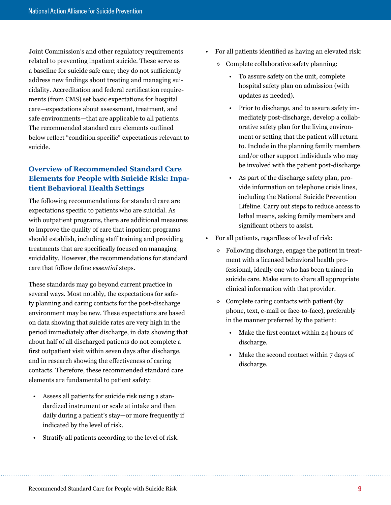<span id="page-12-0"></span>Joint Commission's and other regulatory requirements related to preventing inpatient suicide. These serve as a baseline for suicide safe care; they do not sufficiently address new findings about treating and managing suicidality. Accreditation and federal certification requirements (from CMS) set basic expectations for hospital care—expectations about assessment, treatment, and safe environments—that are applicable to all patients. The recommended standard care elements outlined below reflect "condition specific" expectations relevant to suicide.

# **Overview of Recommended Standard Care Elements for People with Suicide Risk: Inpatient Behavioral Health Settings**

The following recommendations for standard care are expectations specific to patients who are suicidal. As with outpatient programs, there are additional measures to improve the quality of care that inpatient programs should establish, including staff training and providing treatments that are specifically focused on managing suicidality. However, the recommendations for standard care that follow define *essential* steps.

These standards may go beyond current practice in several ways. Most notably, the expectations for safety planning and caring contacts for the post-discharge environment may be new. These expectations are based on data showing that suicide rates are very high in the period immediately after discharge, in data showing that about half of all discharged patients do not complete a first outpatient visit within seven days after discharge, and in research showing the effectiveness of caring contacts. Therefore, these recommended standard care elements are fundamental to patient safety:

- Assess all patients for suicide risk using a standardized instrument or scale at intake and then daily during a patient's stay—or more frequently if indicated by the level of risk.
- Stratify all patients according to the level of risk.
- For all patients identified as having an elevated risk:
	- $\Diamond$  Complete collaborative safety planning:
		- To assure safety on the unit, complete hospital safety plan on admission (with updates as needed).
		- Prior to discharge, and to assure safety immediately post-discharge, develop a collaborative safety plan for the living environment or setting that the patient will return to. Include in the planning family members and/or other support individuals who may be involved with the patient post-discharge.
		- As part of the discharge safety plan, provide information on telephone crisis lines, including the National Suicide Prevention Lifeline. Carry out steps to reduce access to lethal means, asking family members and significant others to assist.
- For all patients, regardless of level of risk:
	- $\Diamond$  Following discharge, engage the patient in treatment with a licensed behavioral health professional, ideally one who has been trained in suicide care. Make sure to share all appropriate clinical information with that provider.
	- $\Diamond$  Complete caring contacts with patient (by phone, text, e-mail or face-to-face), preferably in the manner preferred by the patient:
		- Make the first contact within 24 hours of discharge.
		- Make the second contact within 7 days of discharge.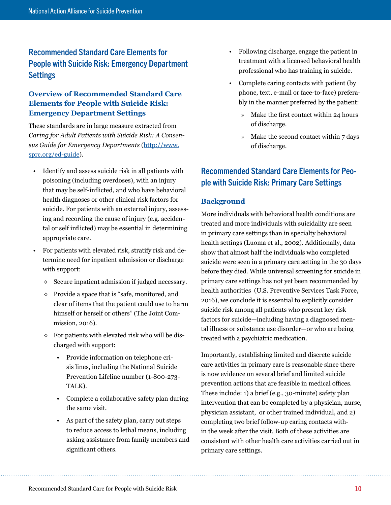# <span id="page-13-0"></span>Recommended Standard Care Elements for People with Suicide Risk: Emergency Department Settings

# **Overview of Recommended Standard Care Elements for People with Suicide Risk: Emergency Department Settings**

These standards are in large measure extracted from *Caring for Adult Patients with Suicide Risk: A Consensus Guide for Emergency Departments* ([http://www.](http://www.sprc.org/ed-guide) [sprc.org/ed-guide](http://www.sprc.org/ed-guide)).

- Identify and assess suicide risk in all patients with poisoning (including overdoses), with an injury that may be self-inflicted, and who have behavioral health diagnoses or other clinical risk factors for suicide. For patients with an external injury, assessing and recording the cause of injury (e.g. accidental or self inflicted) may be essential in determining appropriate care.
- For patients with elevated risk, stratify risk and determine need for inpatient admission or discharge with support:
	- ◊ Secure inpatient admission if judged necessary.
	- ◊ Provide a space that is "safe, monitored, and clear of items that the patient could use to harm himself or herself or others" (The Joint Commission, 2016).
	- ◊ For patients with elevated risk who will be discharged with support:
		- Provide information on telephone crisis lines, including the National Suicide Prevention Lifeline number (1-800-273- TALK).
		- Complete a collaborative safety plan during the same visit.
		- As part of the safety plan, carry out steps to reduce access to lethal means, including asking assistance from family members and significant others.
- Following discharge, engage the patient in treatment with a licensed behavioral health professional who has training in suicide.
- Complete caring contacts with patient (by phone, text, e-mail or face-to-face) preferably in the manner preferred by the patient:
	- » Make the first contact within 24 hours of discharge.
	- » Make the second contact within 7 days of discharge.

# Recommended Standard Care Elements for People with Suicide Risk: Primary Care Settings

## **Background**

More individuals with behavioral health conditions are treated and more individuals with suicidality are seen in primary care settings than in specialty behavioral health settings (Luoma et al., 2002). Additionally, data show that almost half the individuals who completed suicide were seen in a primary care setting in the 30 days before they died. While universal screening for suicide in primary care settings has not yet been recommended by health authorities (U.S. Preventive Services Task Force, 2016), we conclude it is essential to explicitly consider suicide risk among all patients who present key risk factors for suicide—including having a diagnosed mental illness or substance use disorder—or who are being treated with a psychiatric medication.

Importantly, establishing limited and discrete suicide care activities in primary care is reasonable since there is now evidence on several brief and limited suicide prevention actions that are feasible in medical offices. These include: 1) a brief (e.g., 30-minute) safety plan intervention that can be completed by a physician, nurse, physician assistant, or other trained individual, and 2) completing two brief follow-up caring contacts within the week after the visit. Both of these activities are consistent with other health care activities carried out in primary care settings.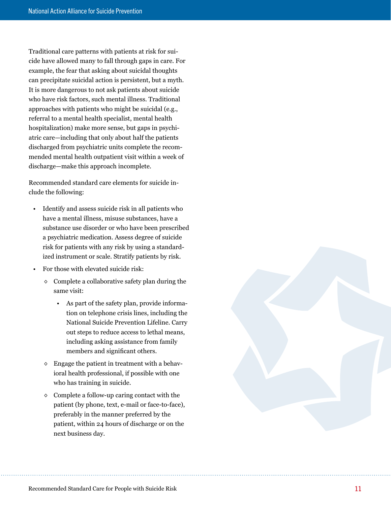Traditional care patterns with patients at risk for sui cide have allowed many to fall through gaps in care. For example, the fear that asking about suicidal thoughts can precipitate suicidal action is persistent, but a myth. It is more dangerous to not ask patients about suicide who have risk factors, such mental illness. Traditional approaches with patients who might be suicidal (e.g., referral to a mental health specialist, mental health hospitalization) make more sense, but gaps in psychi atric care—including that only about half the patients discharged from psychiatric units complete the recom mended mental health outpatient visit within a week of discharge—make this approach incomplete.

Recommended standard care elements for suicide in clude the following:

- Identify and assess suicide risk in all patients who have a mental illness, misuse substances, have a substance use disorder or who have been prescribed a psychiatric medication. Assess degree of suicide risk for patients with any risk by using a standard ized instrument or scale. Stratify patients by risk.
- For those with elevated suicide risk:
	- $\Diamond$  Complete a collaborative safety plan during the same visit:
		- As part of the safety plan, provide informa tion on telephone crisis lines, including the National Suicide Prevention Lifeline. Carry out steps to reduce access to lethal means, including asking assistance from family members and significant others.
	- $\diamond$  Engage the patient in treatment with a behavioral health professional, if possible with one who has training in suicide.
	- ◊ Complete a follow-up caring contact with the patient (by phone, text, e-mail or face-to-face), preferably in the manner preferred by the patient, within 24 hours of discharge or on the next business day.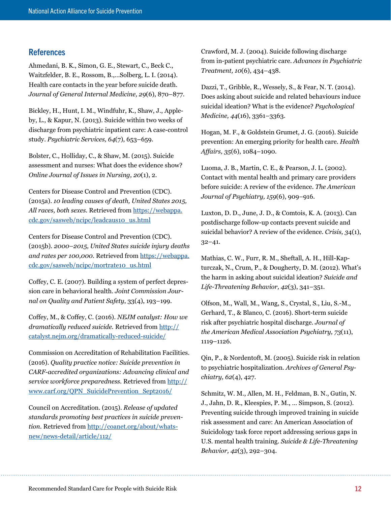## <span id="page-15-0"></span>**References**

Ahmedani, B. K., Simon, G. E., Stewart, C., Beck C., Waitzfelder, B. E., Rossom, B.,…Solberg, L. I. (2014). Health care contacts in the year before suicide death. *Journal of General Internal Medicine, 29*(6), 870–877.

Bickley, H., Hunt, I. M., Windfuhr, K., Shaw, J., Appleby, L., & Kapur, N. (2013). Suicide within two weeks of discharge from psychiatric inpatient care: A case-control study. *Psychiatric Services, 64*(7), 653–659.

Bolster, C., Holliday, C., & Shaw, M. (2015). Suicide assessment and nurses: What does the evidence show? *Online Journal of Issues in Nursing, 20*(1), 2.

Centers for Disease Control and Prevention (CDC). (2015a). *10 leading causes of death, United States 2015,*  All races, both sexes. Retrieved from [https://webappa.](https://webappa.cdc.gov/sasweb/ncipc/leadcaus10_us.html) [cdc.gov/sasweb/ncipc/leadcaus10\\_us.html](https://webappa.cdc.gov/sasweb/ncipc/leadcaus10_us.html)

Centers for Disease Control and Prevention (CDC). (2015b). *2000–2015, United States suicide injury deaths and rates per 100,000.* Retrieved from [https://webappa.](https://webappa.cdc.gov/sasweb/ncipc/mortrate10_us.html) [cdc.gov/sasweb/ncipc/mortrate10\\_us.html](https://webappa.cdc.gov/sasweb/ncipc/mortrate10_us.html)

Coffey, C. E. (2007). Building a system of perfect depression care in behavioral health. *Joint Commission Journal on Quality and Patient Safety*, 33(4), 193–199.

Coffey, M., & Coffey, C. (2016). *NEJM catalyst: How we dramatically reduced suicide.* Retrieved from [http://](http://catalyst.nejm.org/dramatically-reduced-suicide/) [catalyst.nejm.org/dramatically-reduced-suicide/](http://catalyst.nejm.org/dramatically-reduced-suicide/)

Commission on Accreditation of Rehabilitation Facilities. (2016). *Quality practice notice: Suicide prevention in CARF-accredited organizations: Advancing clinical and service workforce preparedness.* Retrieved from [http://](http://www.carf.org/QPN_SuicidePrevention_Sept2016/) [www.carf.org/QPN\\_SuicidePrevention\\_Sept2016/](http://www.carf.org/QPN_SuicidePrevention_Sept2016/)

Council on Accreditation. (2015). *Release of updated standards promoting best practices in suicide prevention.* Retrieved from [http://coanet.org/about/whats](http://coanet.org/about/whats-new/news-detail/article/112/)[new/news-detail/article/112/](http://coanet.org/about/whats-new/news-detail/article/112/)

Crawford, M. J. (2004). Suicide following discharge from in-patient psychiatric care. *Advances in Psychiatric Treatment, 10*(6), 434–438.

Dazzi, T., Gribble, R., Wessely, S., & Fear, N. T. (2014). Does asking about suicide and related behaviours induce suicidal ideation? What is the evidence? *Psychological Medicine, 44*(16), 3361–3363.

Hogan, M. F., & Goldstein Grumet, J. G. (2016). Suicide prevention: An emerging priority for health care. *Health Affairs, 35*(6), 1084–1090.

Luoma, J. B., Martin, C. E., & Pearson, J. L. (2002). Contact with mental health and primary care providers before suicide: A review of the evidence. *The American Journal of Psychiatry, 159*(6), 909–916.

Luxton, D. D., June, J. D., & Comtois, K. A. (2013). Can postdischarge follow-up contacts prevent suicide and suicidal behavior? A review of the evidence. *Crisis, 3*4(1), 32–41.

Mathias, C. W., Furr, R. M., Sheftall, A. H., Hill-Kapturczak, N., Crum, P., & Dougherty, D. M. (2012). What's the harm in asking about suicidal ideation? *Suicide and Life-Threatening Behavior, 42*(3), 341–351.

Olfson, M., Wall, M., Wang, S., Crystal, S., Liu, S.-M., Gerhard, T., & Blanco, C. (2016). Short-term suicide risk after psychiatric hospital discharge. *Journal of the American Medical Association Psychiatry, 73*(11), 1119–1126.

Qin, P., & Nordentoft, M. (2005). Suicide risk in relation to psychiatric hospitalization. *Archives of General Psychiatry, 62*(4), 427.

Schmitz, W. M., Allen, M. H., Feldman, B. N., Gutin, N. J., Jahn, D. R., Kleespies, P. M., … Simpson, S. (2012). Preventing suicide through improved training in suicide risk assessment and care: An American Association of Suicidology task force report addressing serious gaps in U.S. mental health training. *Suicide & Life-Threatening Behavior, 42*(3), 292–304.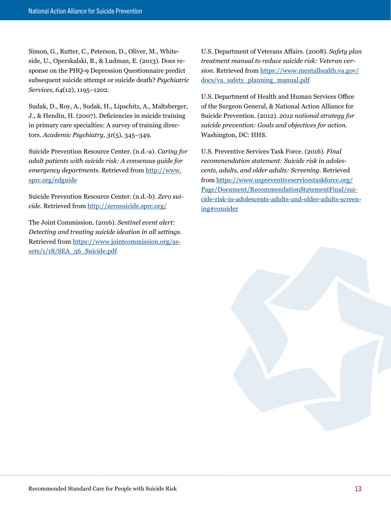Simon, G., Rutter, C., Peterson, D., Oliver, M., Whiteside, U., Operskalski, B., & Ludman, E. (2013). Does response on the PHQ-9 Depression Questionnaire predict subsequent suicide attempt or suicide death? *Psychiatric Services, 64*(12), 1195–1202.

Sudak, D., Roy, A., Sudak, H., Lipschitz, A., Maltsberger, J., & Hendin, H. (2007). Deficiencies in suicide training in primary care specialties: A survey of training directors. *Academic Psychiatry, 31*(5), 345–349.

Suicide Prevention Resource Center. (n.d.-a). *Caring for adult patients with suicide risk: A consensus guide for*  emergency departments. Retrieved from [http://www.](http://www.sprc.org/edguide) [sprc.org/edguide](http://www.sprc.org/edguide)

Suicide Prevention Resource Center. (n.d.-b). *Zero suicide.* Retrieved from <http://zerosuicide.sprc.org/>

The Joint Commission. (2016). *Sentinel event alert: Detecting and treating suicide ideation in all settings.*  Retrieved from [https://www.jointcommission.org/as](https://www.jointcommission.org/assets/1/18/SEA_56_Suicide.pdf)[sets/1/18/SEA\\_56\\_Suicide.pdf](https://www.jointcommission.org/assets/1/18/SEA_56_Suicide.pdf)

U.S. Department of Veterans Affairs. (2008). *Safety plan treatment manual to reduce suicide risk: Veteran version.* Retrieved from [https://www.mentalhealth.va.gov/](https://www.mentalhealth.va.gov/docs/va_safety_planning_manual.pdf) [docs/va\\_safety\\_planning\\_manual.pdf](https://www.mentalhealth.va.gov/docs/va_safety_planning_manual.pdf)

U.S. Department of Health and Human Services Office of the Surgeon General, & National Action Alliance for Suicide Prevention. (2012). *2012 national strategy for suicide prevention: Goals and objectives for action.*  Washington, DC: HHS.

U.S. Preventive Services Task Force. (2016). *Final recommendation statement: Suicide risk in adolescents, adults, and older adults: Screening.* Retrieved from [https://www.uspreventiveservicestaskforce.org/](https://www.uspreventiveservicestaskforce.org/Page/Document/RecommendationStatementFinal/suicide-risk-in-adolescents-adults-and-older-adults-screening#consider) [Page/Document/RecommendationStatementFinal/sui](https://www.uspreventiveservicestaskforce.org/Page/Document/RecommendationStatementFinal/suicide-risk-in-adolescents-adults-and-older-adults-screening#consider)[cide-risk-in-adolescents-adults-and-older-adults-screen](https://www.uspreventiveservicestaskforce.org/Page/Document/RecommendationStatementFinal/suicide-risk-in-adolescents-adults-and-older-adults-screening#consider)[ing#consider](https://www.uspreventiveservicestaskforce.org/Page/Document/RecommendationStatementFinal/suicide-risk-in-adolescents-adults-and-older-adults-screening#consider)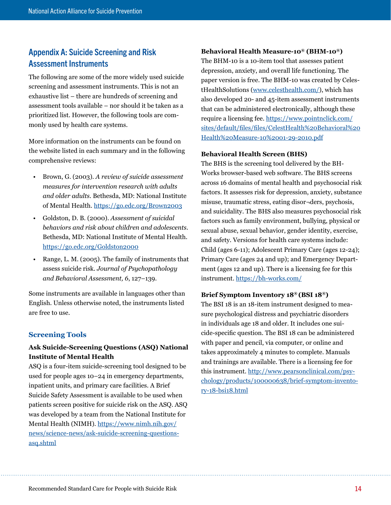# <span id="page-17-0"></span>Appendix A: Suicide Screening and Risk Assessment Instruments

The following are some of the more widely used suicide screening and assessment instruments. This is not an exhaustive list – there are hundreds of screening and assessment tools available – nor should it be taken as a prioritized list. However, the following tools are commonly used by health care systems.

More information on the instruments can be found on the website listed in each summary and in the following comprehensive reviews:

- Brown, G. (2003). *A review of suicide assessment measures for intervention research with adults and older adults.* Bethesda, MD: National Institute of Mental Health.<https://go.edc.org/Brown2003>
- Goldston, D. B. (2000). *Assessment of suicidal behaviors and risk about children and adolescents.*  Bethesda, MD: National Institute of Mental Health. <https://go.edc.org/Goldston2000>
- Range, L. M. (2005). The family of instruments that assess suicide risk. *Journal of Psychopathology and Behavioral Assessment, 6*, 127–139.

Some instruments are available in languages other than English. Unless otherwise noted, the instruments listed are free to use.

# **Screening Tools**

# **Ask Suicide-Screening Questions (ASQ) National Institute of Mental Health**

ASQ is a four-item suicide-screening tool designed to be used for people ages 10–24 in emergency departments, inpatient units, and primary care facilities. A Brief Suicide Safety Assessment is available to be used when patients screen positive for suicide risk on the ASQ. ASQ was developed by a team from the National Institute for Mental Health (NIMH). [https://www.nimh.nih.gov/](https://www.nimh.nih.gov/news/science-news/ask-suicide-screening-questions-asq.shtml) [news/science-news/ask-suicide-screening-questions](https://www.nimh.nih.gov/news/science-news/ask-suicide-screening-questions-asq.shtml)[asq.shtml](https://www.nimh.nih.gov/news/science-news/ask-suicide-screening-questions-asq.shtml)

#### **Behavioral Health Measure-10® (BHM-10®)**

The BHM-10 is a 10-item tool that assesses patient depression, anxiety, and overall life functioning. The paper version is free. The BHM-10 was created by CelestHealthSolutions ([www.celesthealth.com/](http://www.celesthealth.com/)), which has also developed 20- and 45-item assessment instruments that can be administered electronically, although these require a licensing fee. [https://www.pointnclick.com/](https://www.pointnclick.com/sites/default/files/files/CelestHealth%20Behavioral%20Health%20Measure-10%2001-29-2010.pdf) [sites/default/files/files/CelestHealth%20Behavioral%20](https://www.pointnclick.com/sites/default/files/files/CelestHealth%20Behavioral%20Health%20Measure-10%2001-29-2010.pdf) [Health%20Measure-10%2001-29-2010.pdf](https://www.pointnclick.com/sites/default/files/files/CelestHealth%20Behavioral%20Health%20Measure-10%2001-29-2010.pdf)

#### **Behavioral Health Screen (BHS)**

The BHS is the screening tool delivered by the BH-Works browser-based web software. The BHS screens across 16 domains of mental health and psychosocial risk factors. It assesses risk for depression, anxiety, substance misuse, traumatic stress, eating disor¬ders, psychosis, and suicidality. The BHS also measures psychosocial risk factors such as family environment, bullying, physical or sexual abuse, sexual behavior, gender identity, exercise, and safety. Versions for health care systems include: Child (ages 6-11); Adolescent Primary Care (ages 12-24); Primary Care (ages 24 and up); and Emergency Department (ages 12 and up). There is a licensing fee for this instrument. <https://bh-works.com/>

#### **Brief Symptom Inventory 18® (BSI 18®)**

The BSI 18 is an 18-item instrument designed to measure psychological distress and psychiatric disorders in individuals age 18 and older. It includes one suicide-specific question. The BSI 18 can be administered with paper and pencil, via computer, or online and takes approximately 4 minutes to complete. Manuals and trainings are available. There is a licensing fee for this instrument. [http://www.pearsonclinical.com/psy](http://www.pearsonclinical.com/psychology/products/100000638/brief-symptom-inventory-18-bsi18.html)[chology/products/100000638/brief-symptom-invento](http://www.pearsonclinical.com/psychology/products/100000638/brief-symptom-inventory-18-bsi18.html)[ry-18-bsi18.html](http://www.pearsonclinical.com/psychology/products/100000638/brief-symptom-inventory-18-bsi18.html)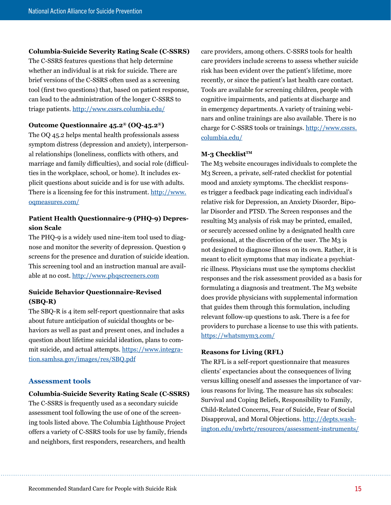#### <span id="page-18-0"></span>**Columbia-Suicide Severity Rating Scale (C-SSRS)**

The C-SSRS features questions that help determine whether an individual is at risk for suicide. There are brief versions of the C-SSRS often used as a screening tool (first two questions) that, based on patient response, can lead to the administration of the longer C-SSRS to triage patients. <http://www.cssrs.columbia.edu/>

#### **Outcome Questionnaire 45.2® (OQ-45.2®)**

The OQ 45.2 helps mental health professionals assess symptom distress (depression and anxiety), interpersonal relationships (loneliness, conflicts with others, and marriage and family difficulties), and social role (difficulties in the workplace, school, or home). It includes explicit questions about suicide and is for use with adults. There is a licensing fee for this instrument. [http://www.](http://www.oqmeasures.com/) [oqmeasures.com/](http://www.oqmeasures.com/)

## **Patient Health Questionnaire-9 (PHQ-9) Depression Scale**

The PHQ-9 is a widely used nine-item tool used to diagnose and monitor the severity of depression. Question 9 screens for the presence and duration of suicide ideation. This screening tool and an instruction manual are available at no cost.<http://www.phqscreeners.com>

## **Suicide Behavior Questionnaire-Revised (SBQ-R)**

The SBQ-R is 4 item self-report questionnaire that asks about future anticipation of suicidal thoughts or behaviors as well as past and present ones, and includes a question about lifetime suicidal ideation, plans to commit suicide, and actual attempts. [https://www.integra](https://www.integration.samhsa.gov/images/res/SBQ.pdf)[tion.samhsa.gov/images/res/SBQ.pdf](https://www.integration.samhsa.gov/images/res/SBQ.pdf)

#### **Assessment tools**

#### **Columbia-Suicide Severity Rating Scale (C-SSRS)**

The C-SSRS is frequently used as a secondary suicide assessment tool following the use of one of the screening tools listed above. The Columbia Lighthouse Project offers a variety of C-SSRS tools for use by family, friends and neighbors, first responders, researchers, and health

care providers, among others. C-SSRS tools for health care providers include screens to assess whether suicide risk has been evident over the patient's lifetime, more recently, or since the patient's last health care contact. Tools are available for screening children, people with cognitive impairments, and patients at discharge and in emergency departments. A variety of training webinars and online trainings are also available. There is no charge for C-SSRS tools or trainings. [http://www.cssrs.](http://www.cssrs.columbia.edu/) [columbia.edu/](http://www.cssrs.columbia.edu/)

#### **M-3 Checklist™**

The M3 website encourages individuals to complete the M3 Screen, a private, self-rated checklist for potential mood and anxiety symptoms. The checklist responses trigger a feedback page indicating each individual's relative risk for Depression, an Anxiety Disorder, Bipolar Disorder and PTSD. The Screen responses and the resulting M3 analysis of risk may be printed, emailed, or securely accessed online by a designated health care professional, at the discretion of the user. The M3 is not designed to diagnose illness on its own. Rather, it is meant to elicit symptoms that may indicate a psychiatric illness. Physicians must use the symptoms checklist responses and the risk assessment provided as a basis for formulating a diagnosis and treatment. The M3 website does provide physicians with supplemental information that guides them through this formulation, including relevant follow-up questions to ask. There is a fee for providers to purchase a license to use this with patients. <https://whatsmym3.com/>

#### **Reasons for Living (RFL)**

The RFL is a self-report questionnaire that measures clients' expectancies about the consequences of living versus killing oneself and assesses the importance of various reasons for living. The measure has six subscales: Survival and Coping Beliefs, Responsibility to Family, Child-Related Concerns, Fear of Suicide, Fear of Social Disapproval, and Moral Objections. [http://depts.wash](http://depts.washington.edu/uwbrtc/resources/assessment-instruments/)[ington.edu/uwbrtc/resources/assessment-instruments/](http://depts.washington.edu/uwbrtc/resources/assessment-instruments/)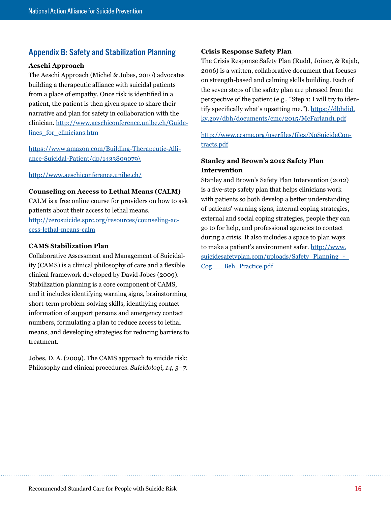# <span id="page-19-0"></span>Appendix B: Safety and Stabilization Planning

#### **Aeschi Approach**

The Aeschi Approach (Michel & Jobes, 2010) advocates building a therapeutic alliance with suicidal patients from a place of empathy. Once risk is identified in a patient, the patient is then given space to share their narrative and plan for safety in collaboration with the clinician. [http://www.aeschiconference.unibe.ch/Guide](http://www.aeschiconference.unibe.ch/Guidelines_for_clinicians.htm)lines for clinicians.htm

[https://www.amazon.com/Building-Therapeutic-Alli](https://www.amazon.com/Building-Therapeutic-Alliance-Suicidal-Patient/dp/1433809079%5C)[ance-Suicidal-Patient/dp/1433809079\](https://www.amazon.com/Building-Therapeutic-Alliance-Suicidal-Patient/dp/1433809079%5C)

<http://www.aeschiconference.unibe.ch/>

#### **Counseling on Access to Lethal Means (CALM)**

CALM is a free online course for providers on how to ask patients about their access to lethal means. [http://zerosuicide.sprc.org/resources/counseling-ac](http://zerosuicide.sprc.org/resources/counseling-access-lethal-means-calm)[cess-lethal-means-calm](http://zerosuicide.sprc.org/resources/counseling-access-lethal-means-calm)

#### **CAMS Stabilization Plan**

Collaborative Assessment and Management of Suicidality (CAMS) is a clinical philosophy of care and a flexible clinical framework developed by David Jobes (2009). Stabilization planning is a core component of CAMS, and it includes identifying warning signs, brainstorming short-term problem-solving skills, identifying contact information of support persons and emergency contact numbers, formulating a plan to reduce access to lethal means, and developing strategies for reducing barriers to treatment.

Jobes, D. A. (2009). The CAMS approach to suicide risk: Philosophy and clinical procedures. *Suicidologi, 14, 3–7*.

#### **Crisis Response Safety Plan**

The Crisis Response Safety Plan (Rudd, Joiner, & Rajab, 2006) is a written, collaborative document that focuses on strength-based and calming skills building. Each of the seven steps of the safety plan are phrased from the perspective of the patient (e.g., "Step 1: I will try to identify specifically what's upsetting me."). [https://dbhdid.](https://dbhdid.ky.gov/dbh/documents/cmc/2015/McFarland1.pdf) [ky.gov/dbh/documents/cmc/2015/McFarland1.pdf](https://dbhdid.ky.gov/dbh/documents/cmc/2015/McFarland1.pdf)

[http://www.ccsme.org/userfiles/files/NoSuicideCon](http://www.ccsme.org/userfiles/files/NoSuicideContracts.pdf)[tracts.pdf](http://www.ccsme.org/userfiles/files/NoSuicideContracts.pdf)

## **Stanley and Brown's 2012 Safety Plan Intervention**

Stanley and Brown's Safety Plan Intervention (2012) is a five-step safety plan that helps clinicians work with patients so both develop a better understanding of patients' warning signs, internal coping strategies, external and social coping strategies, people they can go to for help, and professional agencies to contact during a crisis. It also includes a space to plan ways to make a patient's environment safer. [http://www.](http://www.suicidesafetyplan.com/uploads/Safety_Planning_-_Cog___Beh_Practice.pdf) [suicidesafetyplan.com/uploads/Safety\\_Planning\\_-\\_](http://www.suicidesafetyplan.com/uploads/Safety_Planning_-_Cog___Beh_Practice.pdf) [Cog\\_\\_\\_Beh\\_Practice.pdf](http://www.suicidesafetyplan.com/uploads/Safety_Planning_-_Cog___Beh_Practice.pdf)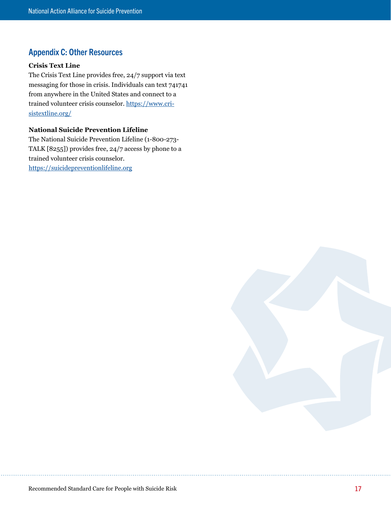# <span id="page-20-0"></span>Appendix C: Other Resources

#### **Crisis Text Line**

The Crisis Text Line provides free, 24/7 support via text messaging for those in crisis. Individuals can text 741741 from anywhere in the United States and connect to a trained volunteer crisis counselor. [https://www.cri](https://www.crisistextline.org/)[sistextline.org/](https://www.crisistextline.org/)

## **National Suicide Prevention Lifeline**

The National Suicide Prevention Lifeline (1-800-273- TALK [8255]) provides free, 24/7 access by phone to a trained volunteer crisis counselor. <https://suicidepreventionlifeline.org>

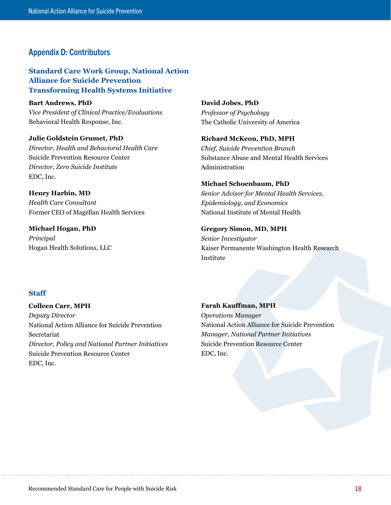# <span id="page-21-0"></span>Appendix D: Contributors

**Standard Care Work Group, National Action Alliance for Suicide Prevention Transforming Health Systems Initiative**

**Bart Andrews, PhD** *Vice President of Clinical Practice/Evaluations* Behavioral Health Response, Inc.

**Julie Goldstein Grumet, PhD** *Director, Health and Behavioral Health Care*  Suicide Prevention Resource Center *Director, Zero Suicide Institute* EDC, Inc.

**Henry Harbin, MD** *Health Care Consultant*  Former CEO of Magellan Health Services

**Michael Hogan, PhD** *Principal* Hogan Health Solutions, LLC **David Jobes, PhD** *Professor of Psychology* The Catholic University of America

**Richard McKeon, PhD, MPH** *Chief, Suicide Prevention Branch* Substance Abuse and Mental Health Services Administration

#### **Michael Schoenbaum, PhD**

*Senior Advisor for Mental Health Services, Epidemiology, and Economics* National Institute of Mental Health

#### **Gregory Simon, MD, MPH**

*Senior Investigator* Kaiser Permanente Washington Health Research Institute

#### **Staff**

**Colleen Carr, MPH** *Deputy Director* National Action Alliance for Suicide Prevention Secretariat *Director, Policy and National Partner Initiatives*  Suicide Prevention Resource Center EDC, Inc.

**Farah Kauffman, MPH** *Operations Manager* National Action Alliance for Suicide Prevention *Manager, National Partner Initiatives*  Suicide Prevention Resource Center EDC, Inc.